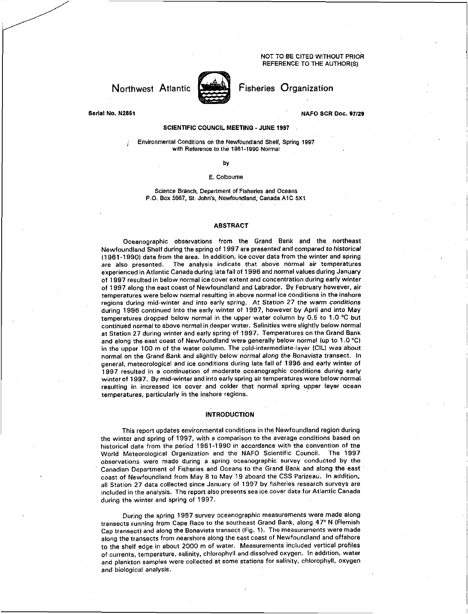NOT TO BE CITED WITHOUT PRIOR REFERENCE TO THE AUTHOR(S)



Northwest Atlantic **Northerial** Fisheries Organization

**Serial No. N2861 NAFO SCR Doc. 97/29** 

# **SCIENTIFIC COUNCIL MEETING - JUNE 1997**

Environmental Conditions on the Newfoundland Shelf, Spring 1997 with Reference to the 1981-1990 Normal

**by** 

# E. Colboume

Science Branch, Department of Fisheries and Oceans P.O. Box 5667, St. John's, Newfoundland, Canada A1C 5X1

#### **ABSTRACT**

Oceanographic observations from the Grand Bank and the northeast Newfoundland Shelf during the spring of 1997 are presented and compared to *historical*  (1961-1990) data from the area. In addition, ice cover data from the winter and spring are also presented. The analysis indicate that above normal air temperatures experienced in Atlantic Canada during late fall of 1996 and normal values during January of 1997 resulted in below normal ice cover extent and concentration during early winter of 1997 along the east coast of Newfoundland and Labrador. By February however, air temperatures were below normal resulting in above normal ice conditions in the inshore regions during mid-winter and into early spring. At Station 27 the warm *conditions*  during 1996 continued into the early winter of 1997, however by April and into May temperatures dropped below normal in the upper water column by 0.5 to 1.0 °C but continued normal to above normal in deeper water. Salinities were slightly below normal at Station 27 during winter and early spring of 1997. Temperatures on the Grand Bank and along the east coast of Newfoundland were generally below normal (up to 1.0 °C) in the upper 100 m of the water column. The cold-intermediate-layer (CIL) was about normal on the Grand Bank and slightly below *normal along the Bonavista* transect. In general, meteorological and ice conditions during late fall of 1996 and early winter of 1997 resulted in a continuation of moderate oceanographic conditions during early winter of 1997. By mid-winter and into early spring air temperatures were below normal resulting in increased ice cover and colder that normal spring upper layer ocean temperatures, particularly in the inshore regions.

# **INTRODUCTION**

This report updates environmental conditions in the Newfoundland region during the winter and spring of 1997, with a comparison to the average conditions based on historical data from the period 1961-1990 in accordance with the convention of the World Meteorological Organization and the NAFO Scientific Council. The 1997 observations were made during a spring oceanographic survey conducted by the Canadian Department of Fisheries and Oceans to the Grand Bank and along the east coast of Newfoundland from May 8 to May 19 aboard the CSS Parizeau. In addition, all Station 27 data collected since January of 1997 by fisheries research surveys are included in the analysis. The report also presents sea ice cover data for Atlantic Canada during the winter and spring of 1997.

During the spring 1997 survey oceanographic measurements were made along transects running from Cape Race to the southeast Grand Bank, along 47° N (Flemish Cap transect) and along the Bonavista transect (Fig. 1). The measurements were made along the transects from nearshore along the east coast of Newfoundland and offshore to the shelf edge in about 2000 m of water. Measurements included vertical profiles of currents, temperature, salinity, chlorophyll and dissolved oxygen. In addition, water and plankton samples were collected at some stations for salinity, chlorophyll, oxygen *and* biological analysis.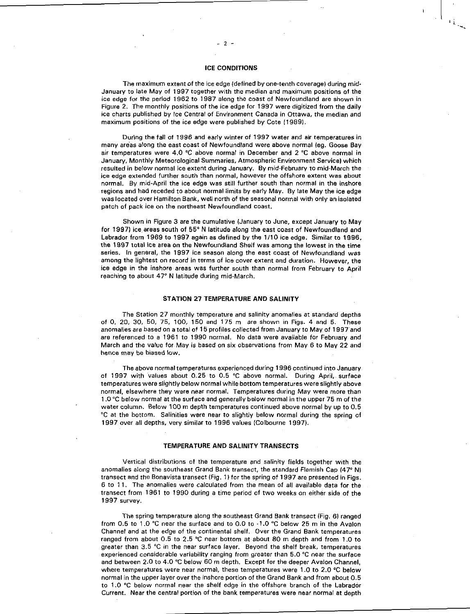## ICE CONDITIONS

The maximum extent of the ice edge (defined by one-tenth coverage) during mid-January to late May of 1997 together with the median and maximum positions of the ice edge for the period 1962 to 1987 along the coast of Newfoundland are shown in Figure 2. The monthly positions of the ice edge for 1997 were digitized from the daily ice charts published by Ice Central of Environment Canada in Ottawa, the median and maximum positions of the ice edge were published by Cote (1989).

During the fall of 1996 and early winter of 1997 water and air temperatures in many areas along the east coast of Newfoundland were above normal (eg. Goose Bay air temperatures were 4.0 °C above normal in December and 2 °C above normal in January, Monthly Meteorological Summaries, Atmospheric Environment Service) which resulted in below normal ice extent during January. By mid-February to mid-March the ice edge extended further south than normal, however the offshore extent was about normal. By mid-April the ice edge was still further south than normal in the inshore regions and had receded to about normal limits by early May. By late May the ice edge was located over Hamilton Bank, well north of the seasonal normal with only an isolated patch of pack ice on the northeast Newfoundland coast.

Shown in Figure 3 are the cumulative (January to June, except January to May for 1997) ice areas south of 55° N latitude along the east coast of Newfoundland and Labrador from 1969 to 1997 again as defined by the 1/10 ice edge. Similar to 1996, the 1997 total ice area on the Newfoundland Shelf was among the lowest in the time series. In general, the 1997 ice season along the east coast of Newfoundland was among the lightest on record in terms of ice cover extent and duration. However, the ice edge in the inshore areas was further south than normal from February to April reaching to about 47° N latitude during mid-March.

#### STATION 27 TEMPERATURE AND SALINITY

The Station 27 monthly temperature and salinity anomalies at standard depths of 0, 20, 30, 50, 75, 100, 150 and 175 m are shown in Figs. 4 and 5. These anomalies are based on a total of 15 profiles collected from January to May of 1997 and are referenced to a 1961 to 1990 normal. No data were available for February and March and the value for. May is based on six observations from May 6 to May 22 and hence may be biased low.

The above normal temperatures experienced during 1996 continued into January of 1997 with values about 0.25 to 0.5 °C above normal. During April, surface temperatures were slightly below normal while bottom temperatures were slightly above normal, elsewhere they were near normal. Temperatures during May were more than 1.0 °C below normal at the surface and generally below normal in the upper 75 m of the water column. Below 100 m depth temperatures continued above normal by up to 0.5 °C at the bottom. Salinities were near to slightly below normal during the spring of 1997 over all depths, very similar to 1996 values (Colbourne 1997).

#### **TEMPERATURE AND SALINITY TRANSECTS**

Vertical distributions of the temperature and salinity fields together with the anomalies along the southeast Grand Bank transect, the standard Flemish Cap (47° N) transect and the Bonavista transect (Fig. 1) for the spring of 1997 are presented in Figs. 6 to 11. The anomalies were calculated from the mean of all available data for the transect from 1961 to 1990 during a time period of two weeks on either side of the 1997 survey.

The spring temperature along the southeast Grand Bank transect (Fig. 6) ranged from 0.5 to 1.0 °C near the surface and to 0.0 to -1.0 °C below 25 m in the Avalon Channel and at the edge of the continental shelf. Over the Grand Bank temperatures ranged from about 0.5 to 2.5 °C near bottom at about 80 m depth and from 1.0 to greater than 3.5 °C in the near surface layer. Beyond the shelf break, temperatures experienced considerable variability ranging from greater than 5.0 °C near the surface and between 2.0 to 4.0 °C below 60 m depth. Except for the deeper Avalon Channel, where temperatures were near normal, these temperatures were 1.0 to 2.0 °C below normal in the upper layer over the inshore portion of the Grand Bank and from about 0.5 to 1.0 °C below normal near the shelf edge in the offshore branch of the Labrador Current. Near the central portion of the bank temperatures were near normal at depth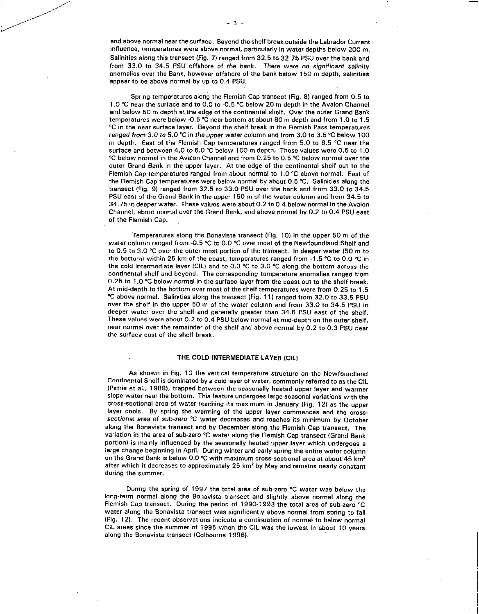and above normal near the surface. Beyond the shelf break outside the Labrador Current influence, temperatures were above normal, particularly in water depths below 200 m. Salinities along this transect (Fig. 7) ranged from 32.5 to 32.75 PSU over the bank and from 33.0 to 34.5 PSU offshore of the bank. There were *no significant salinity*  anomalies over the Bank, however offshore of the bank below 150 m depth, salinities appear to be above normal by up to 0.4 PSU.

Spring temperatures along the Flemish Cap transect (Fig. 8) ranged from 0.5 to 1.0 °C near the surface and to 0.0 to -0.5 °C below 20 m depth in the Avalon Channel and below 50 m depth at the edge of the continental shelf. Over the outer Grand Bank temperatures were below -0.5 °C near bottom at about 80 m depth and from 1.0 to 1.5 °C in the near surface layer. Beyond the shelf break in the Flemish Pass temperatures ranged from 3.0 to 5.0 °C *in* the *upper* water column and from 3.0 to 3.5 °C below 100 m depth. East of the Flemish Cap temperatures ranged from 5.0 to 6.5 °C near the surface and between 4.0 to 6.0 °C below 100 m depth. These values were 0.5 to 1.0 °C below normal in the Avalon Channel and from 0.25 to 0.5 °C below normal over the outer Grand Bank in the upper layer. At the edge of the continental shelf out to the Flemish Cap temperatures ranged from about normal to 1.0 °C above normal. East of the Flemish Cap temperatures were below normal by about 0.5 °C. Salinities along the transect (Fig. 9) ranged from 32.5 to 33.0 PSU over the bank and from 33.0 to 34.5 PSU east of the Grand Bank in the upper 150 m of the water column and from 34.5 to 34.75 in deeper water. These values were about 0.2 to 0.4 below normal in the Avalon Channel, about normal over the Grand Bank, and above normal by 0.2 to 0.4 PSU east of the Flemish Cap.

Temperatures along the Bonavista transect (Fig. 10) in the upper 50 m of the water column ranged from -0.5 °C to 0.0 °C over most of the Newfoundland Shelf and to 0.5 to 3.0 °C over the outer most portion of the transect. In deeper water (50 m to the bottom) within 25 km of the coast, temperatures ranged from -1.5 °C to 0.0 °C in the cold intermediate layer (CIL) and to 0.0 °C to 3.0 °C along the bottom across the continental shelf and beyond. The corresponding temperature anomalies ranged from 0.25 to 1.0 °C below normal in the surface layer from the coast out to the shelf break. At mid-depth to the bottom over most of the shelf temperatures were from 0.25 to 1.5 °C above normal. Salinities along the transect (Fig. 11) ranged from 32.0 to 33.5 PSU over the shelf in the upper 50 m of the water column and from 33.0 to 34.5 PSU in deeper water over the shelf and generally greater than 34.5 PSU east of the shelf. These values were about 0.2 to 0.4 PSU below normal at mid-depth on the outer shelf, near normal over the remainder of the shelf and above normal by 0.2 to 0.3 PSU near the surface east of the shelf break.

# **THE COLD INTERMEDIATE LAYER (CIL/**

As shown in Fig. 10 the vertical temperature structure on the Newfoundland Continental Shelf is dominated by a cold layer of water, commonly referred to as the CIL (Petrie et al., 1988), trapped between the seasonally heated upper layer and warmer slope water near the bottom. This feature undergoes large seasonal variations with the cross-sectional area of water reaching its maximum in January (Fig. 12) as the upper layer cools. By spring the warming of the upper layer commences and the cross*sectional area of sub-zero* °C water decreases and reaches its minimum by October along the Bonavista transect and by December along the Flemish Cap transect. The variation in the area of sub-zero °C water along the Flemish Cap transect (Grand Bank portion) is mainly influenced by the seasonally heated upper layer which undergoes a large change beginning in April. During winter and early spring the entire water column on the Grand Bank is below 0.0 °C with maximum cross-sectional area at about 45  $km^2$ after which it decreases to approximately 25 km<sup>2</sup> by May and remains nearly constant during the summer.

During the spring of 1997 the total area of sub-zero °C water was below the long-term normal along the Bonavista transect and slightly above normal along the Flemish Cap transect. During the period of 1990-1993 the total area of sub-zero °C water along the Bonavista transect was significantly above normal from spring to fall (Fig. 12). The recent observations indicate a continuation of normal to below normal CIL areas since the summer of 1995 when the CIL was the lowest in about 10 years along the Bonavista transect (Colbourne 1996).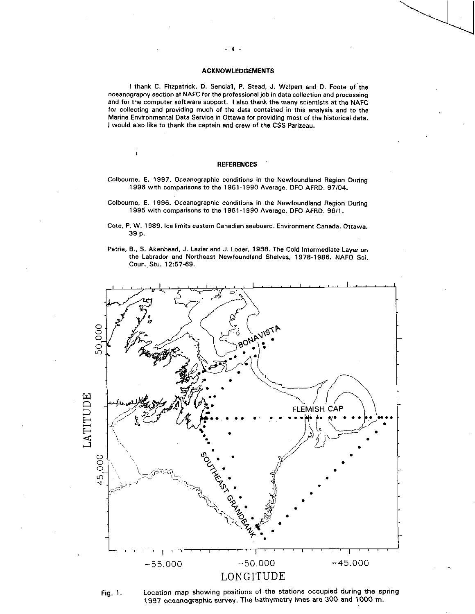### **ACKNOWLEDGEMENTS**

I thank C. Fitzpatrick, D. Senciall, P. Stead, J. Walpert and D. Foote of the oceanography section at NAFC for the professional job in data collection and processing and for the computer software support. 1 also thank the many scientists at the NAFC for collecting and providing much of the data contained in this analysis and to the Marine Environmental Data Service in Ottawa for providing most of the historical data. I would also like to thank the captain and crew of the CSS Parizeau.

# **REFERENCES**

İ

- Colbourne, E. 1997. Oceanographic conditions in the Newfoundland Region During 1996 with comparisons to the 1961-1990 Average. DFO AFRD. 97/04.
- Colbourne, E. 1996. Oceanographic conditions in the Newfoundland Region During 1995 with comparisons to the 1961-1990 Average. DFO AFRO. 96/1.
- Cote, P. W. 1989. Ice limits eastern Canadian seaboard. Environment Canada, Ottawa. 39 p.
- Petrie, 8., S. Akenhead, J. Lazier and J. Loder. 1988. The Cold Intermediate Layer on the Labrador and Northeast Newfoundland Shelves, 1978-1986. NAFO Sci. Coun. Stu. 12:57-69.



Fig. 1. Location map showing positions of the stations occupied during the spring 1997 oceanographic survey. The bathymetry lines are 300 and 1000 m.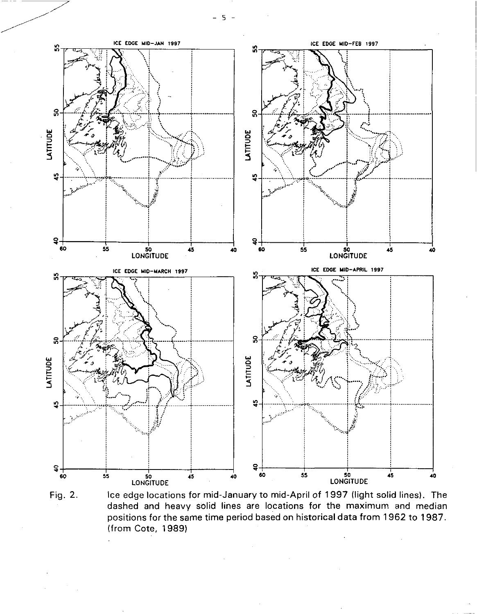- 5 -



Fig. 2. Ice edge locations for mid-January to mid-April of 1997 (light solid lines). The dashed and heavy solid lines are locations for the maximum and median positions for the same time period based on historical data from 1962 to 1987. (from Cote, 1989)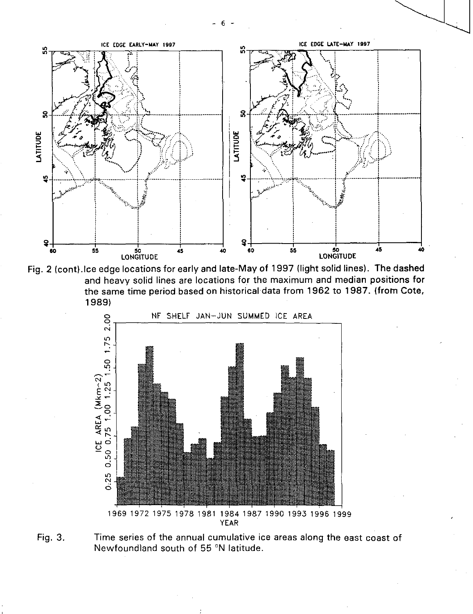



![](_page_5_Figure_2.jpeg)

Fig. 3. Time series of the annual cumulative ice areas along the east coast of Newfoundland south of 55 °N latitude.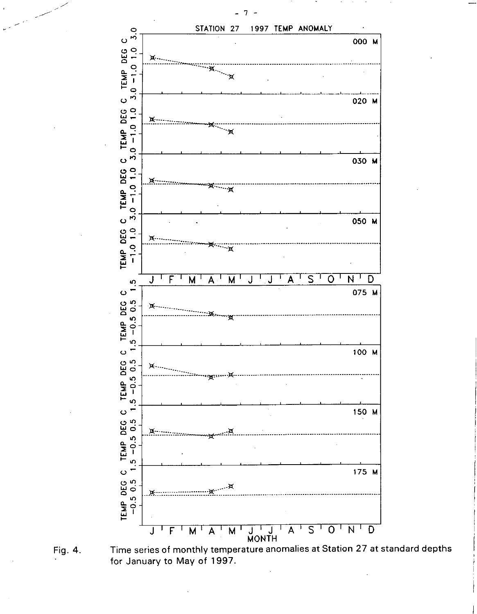![](_page_6_Figure_0.jpeg)

 $-7 -$ 

![](_page_6_Figure_1.jpeg)

Time series of monthly temperature anomalies at Station 27 at standard depths for January to May of 1997.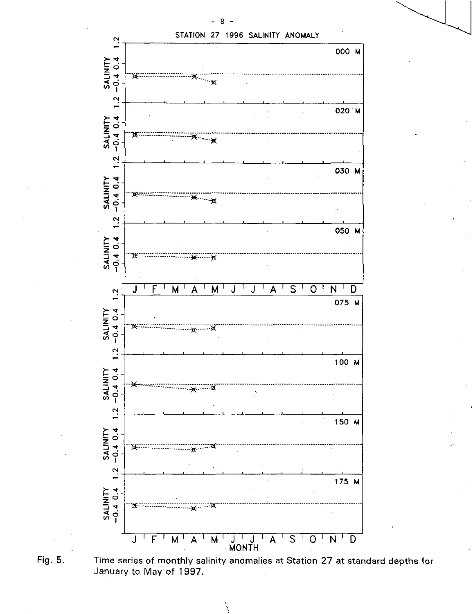![](_page_7_Figure_0.jpeg)

 $\overline{a}$ 

 $\overline{\phantom{0}}$ 

![](_page_7_Figure_1.jpeg)

Time series of monthly salinity anomalies at Station 27 at standard depths for January to May of 1997.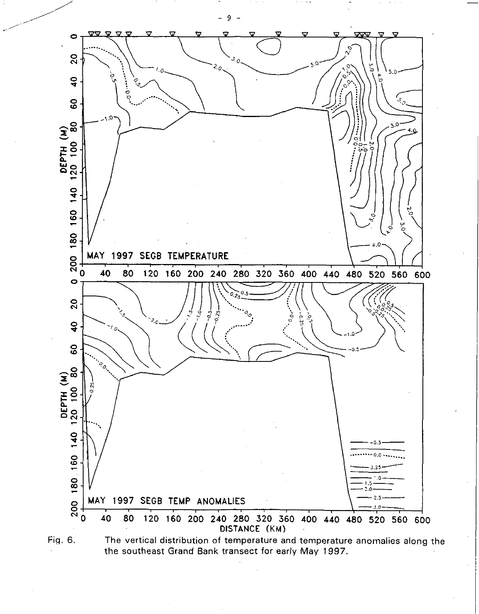![](_page_8_Figure_0.jpeg)

the southeast Grand Bank transect for early May 1997.

 $9 -$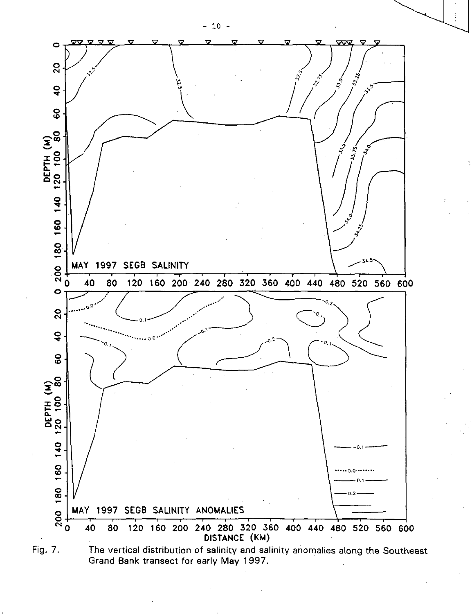![](_page_9_Figure_0.jpeg)

 $-10 -$ 

![](_page_9_Figure_1.jpeg)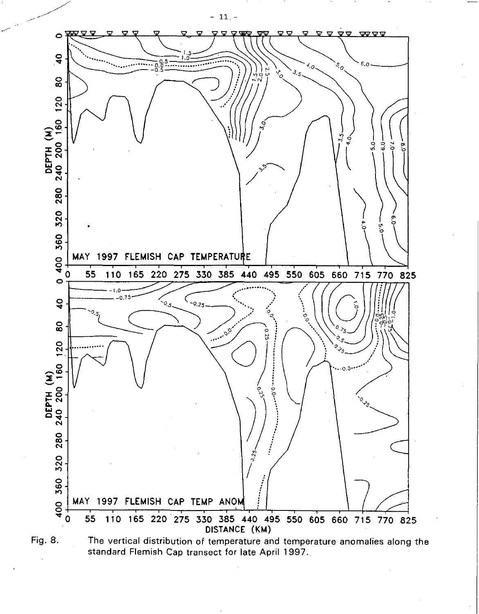![](_page_10_Figure_0.jpeg)

![](_page_10_Figure_1.jpeg)

Fig. 8. The vertical distribution of temperature and temperature anomalies along the standard Flemish Cap transect for late April 1997.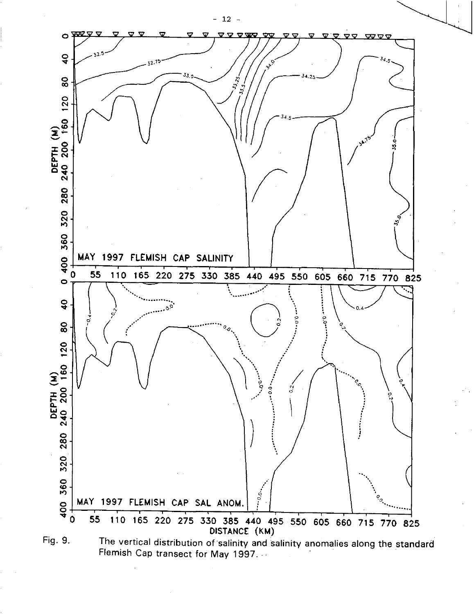![](_page_11_Figure_0.jpeg)

![](_page_11_Figure_1.jpeg)

 $-12 -$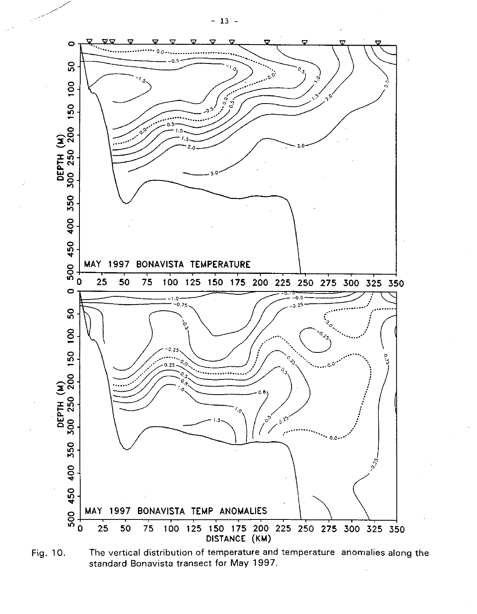![](_page_12_Figure_0.jpeg)

![](_page_12_Figure_1.jpeg)

 $-13 -$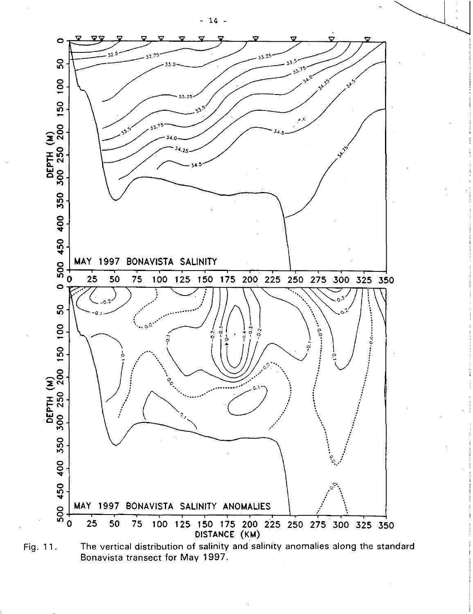![](_page_13_Figure_0.jpeg)

![](_page_13_Figure_1.jpeg)

![](_page_13_Figure_2.jpeg)